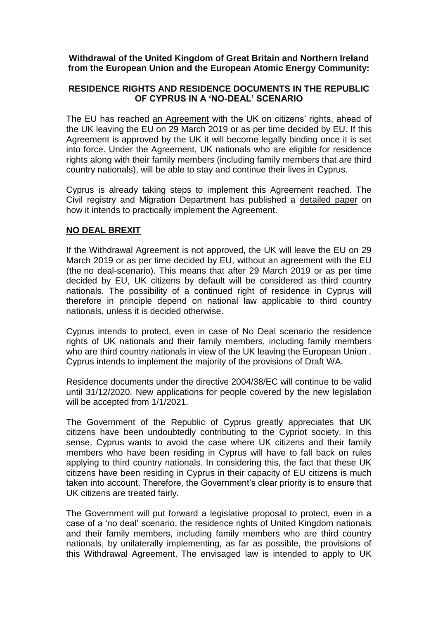## **Withdrawal of the United Kingdom of Great Britain and Northern Ireland from the European Union and the European Atomic Energy Community:**

## **RESIDENCE RIGHTS AND RESIDENCE DOCUMENTS IN THE REPUBLIC OF CYPRUS IN A 'NO-DEAL' SCENARIO**

The EU has reached [an Agreement](https://ec.europa.eu/commission/sites/beta-political/files/draft_agreement_coloured.pdf) with the UK on citizens' rights, ahead of the UK leaving the EU on 29 March 2019 or as per time decided by EU. If this Agreement is approved by the UK it will become legally binding once it is set into force. Under the Agreement, UK nationals who are eligible for residence rights along with their family members (including family members that are third country nationals), will be able to stay and continue their lives in Cyprus.

Cyprus is already taking steps to implement this Agreement reached. The Civil registry and Migration Department has published a [detailed paper](http://www.moi.gov.cy/moi/crmd/crmd.nsf/All/C482CD407E0903D8C225830E00384072/$file/IMPLEMENTING%20THE%20WA_PUBLISHED%20V.1.pdf) on how it intends to practically implement the Agreement.

## **NO DEAL BREXIT**

If the Withdrawal Agreement is not approved, the UK will leave the EU on 29 March 2019 or as per time decided by EU, without an agreement with the EU (the no deal-scenario). This means that after 29 March 2019 or as per time decided by EU, UK citizens by default will be considered as third country nationals. The possibility of a continued right of residence in Cyprus will therefore in principle depend on national law applicable to third country nationals, unless it is decided otherwise.

Cyprus intends to protect, even in case of No Deal scenario the residence rights of UK nationals and their family members, including family members who are third country nationals in view of the UK leaving the European Union . Cyprus intends to implement the majority of the provisions of Draft WA.

Residence documents under the directive 2004/38/EC will continue to be valid until 31/12/2020. New applications for people covered by the new legislation will be accepted from 1/1/2021.

The Government of the Republic of Cyprus greatly appreciates that UK citizens have been undoubtedly contributing to the Cypriot society. In this sense, Cyprus wants to avoid the case where UK citizens and their family members who have been residing in Cyprus will have to fall back on rules applying to third country nationals. In considering this, the fact that these UK citizens have been residing in Cyprus in their capacity of EU citizens is much taken into account. Therefore, the Government's clear priority is to ensure that UK citizens are treated fairly.

The Government will put forward a legislative proposal to protect, even in a case of a 'no deal' scenario, the residence rights of United Kingdom nationals and their family members, including family members who are third country nationals, by unilaterally implementing, as far as possible, the provisions of this Withdrawal Agreement. The envisaged law is intended to apply to UK